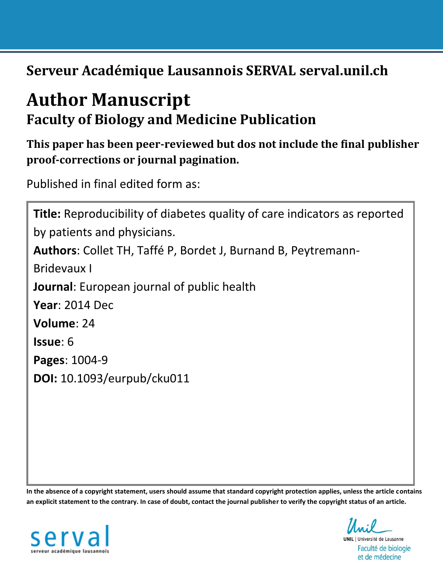**Serveur Académique Lausannois SERVAL serval.unil.ch**

# **Author Manuscript Faculty of Biology and Medicine Publication**

**This paper has been peer-reviewed but dos not include the final publisher proof-corrections or journal pagination.**

Published in final edited form as:

```
Title: Reproducibility of diabetes quality of care indicators as reported 
by patients and physicians.
Authors: Collet TH, Taffé P, Bordet J, Burnand B, Peytremann-
Bridevaux I
Journal: European journal of public health
Year: 2014 Dec
Volume: 24
Issue: 6
Pages: 1004-9
DOI: 10.1093/eurpub/cku011
```
**In the absence of a copyright statement, users should assume that standard copyright protection applies, unless the article contains an explicit statement to the contrary. In case of doubt, contact the journal publisher to verify the copyright status of an article.**



**UNIL** | Université de Lausanne Faculté de biologie et de médecine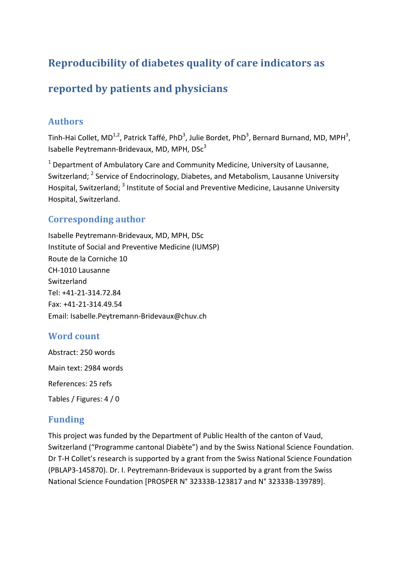# **Reproducibility of diabetes quality of care indicators as**

# **reported by patients and physicians**

## **Authors**

Tinh-Hai Collet, MD<sup>1,2</sup>, Patrick Taffé, PhD<sup>3</sup>, Julie Bordet, PhD<sup>3</sup>, Bernard Burnand, MD, MPH<sup>3</sup>, Isabelle Peytremann-Bridevaux, MD, MPH,  $DSc<sup>3</sup>$ 

 $1$  Department of Ambulatory Care and Community Medicine, University of Lausanne, Switzerland; <sup>2</sup> Service of Endocrinology, Diabetes, and Metabolism, Lausanne University Hospital, Switzerland; <sup>3</sup> Institute of Social and Preventive Medicine, Lausanne University Hospital, Switzerland.

# **Corresponding author**

Isabelle Peytremann-Bridevaux, MD, MPH, DSc Institute of Social and Preventive Medicine (IUMSP) Route de la Corniche 10 CH-1010 Lausanne Switzerland Tel: +41-21-314.72.84 Fax: +41-21-314.49.54 Email: Isabelle.Peytremann-Bridevaux@chuv.ch

# Word count

Abstract: 250 words Main text: 2984 words References: 25 refs Tables / Figures: 4 / 0

# **Funding**

This project was funded by the Department of Public Health of the canton of Vaud, Switzerland ("Programme cantonal Diabète") and by the Swiss National Science Foundation. Dr T-H Collet's research is supported by a grant from the Swiss National Science Foundation (PBLAP3-145870). Dr. I. Peytremann-Bridevaux is supported by a grant from the Swiss National Science Foundation [PROSPER N° 32333B-123817 and N° 32333B-139789].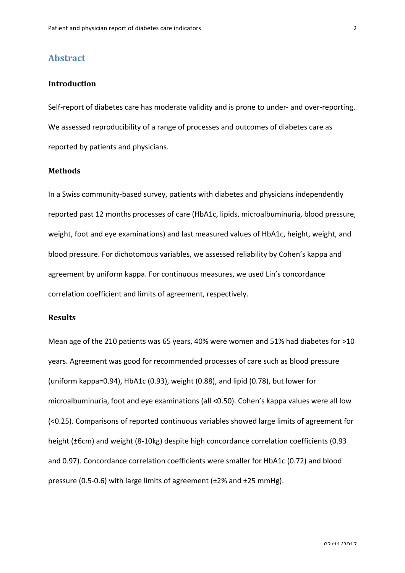### **Abstract**

#### **Introduction**

Self-report of diabetes care has moderate validity and is prone to under- and over-reporting. We assessed reproducibility of a range of processes and outcomes of diabetes care as reported by patients and physicians.

#### **Methods**

In a Swiss community-based survey, patients with diabetes and physicians independently reported past 12 months processes of care (HbA1c, lipids, microalbuminuria, blood pressure, weight, foot and eye examinations) and last measured values of HbA1c, height, weight, and blood pressure. For dichotomous variables, we assessed reliability by Cohen's kappa and agreement by uniform kappa. For continuous measures, we used Lin's concordance correlation coefficient and limits of agreement, respectively.

#### **Results**

Mean age of the 210 patients was 65 years, 40% were women and 51% had diabetes for  $>10$ years. Agreement was good for recommended processes of care such as blood pressure (uniform kappa=0.94), HbA1c (0.93), weight (0.88), and lipid (0.78), but lower for microalbuminuria, foot and eye examinations (all <0.50). Cohen's kappa values were all low (<0.25). Comparisons of reported continuous variables showed large limits of agreement for height  $(\pm 6$ cm) and weight  $(8-10$ kg) despite high concordance correlation coefficients  $(0.93)$ and 0.97). Concordance correlation coefficients were smaller for HbA1c (0.72) and blood pressure (0.5-0.6) with large limits of agreement ( $\pm$ 2% and  $\pm$ 25 mmHg).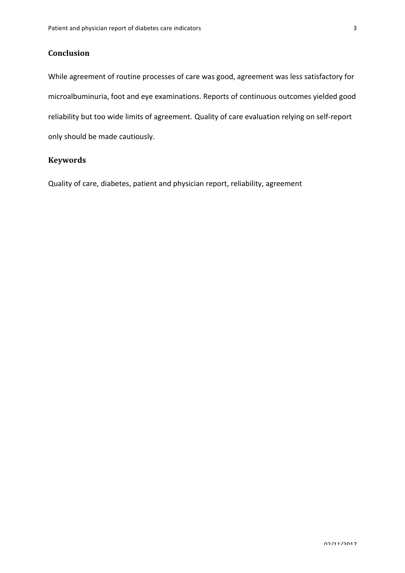### **Conclusion**

While agreement of routine processes of care was good, agreement was less satisfactory for microalbuminuria, foot and eye examinations. Reports of continuous outcomes yielded good reliability but too wide limits of agreement. Quality of care evaluation relying on self-report only should be made cautiously.

#### **Keywords**

Quality of care, diabetes, patient and physician report, reliability, agreement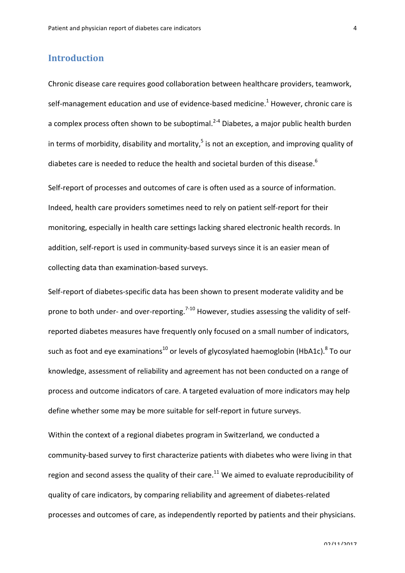# **Introduction**

Chronic disease care requires good collaboration between healthcare providers, teamwork, self-management education and use of evidence-based medicine.<sup>1</sup> However, chronic care is a complex process often shown to be suboptimal.<sup>2-4</sup> Diabetes, a major public health burden in terms of morbidity, disability and mortality,<sup>5</sup> is not an exception, and improving quality of diabetes care is needed to reduce the health and societal burden of this disease.<sup>6</sup>

Self-report of processes and outcomes of care is often used as a source of information. Indeed, health care providers sometimes need to rely on patient self-report for their monitoring, especially in health care settings lacking shared electronic health records. In addition, self-report is used in community-based surveys since it is an easier mean of collecting data than examination-based surveys.

Self-report of diabetes-specific data has been shown to present moderate validity and be prone to both under- and over-reporting.<sup>7-10</sup> However, studies assessing the validity of selfreported diabetes measures have frequently only focused on a small number of indicators, such as foot and eye examinations<sup>10</sup> or levels of glycosylated haemoglobin (HbA1c).<sup>8</sup> To our knowledge, assessment of reliability and agreement has not been conducted on a range of process and outcome indicators of care. A targeted evaluation of more indicators may help define whether some may be more suitable for self-report in future surveys.

Within the context of a regional diabetes program in Switzerland, we conducted a community-based survey to first characterize patients with diabetes who were living in that region and second assess the quality of their care.<sup>11</sup> We aimed to evaluate reproducibility of quality of care indicators, by comparing reliability and agreement of diabetes-related processes and outcomes of care, as independently reported by patients and their physicians.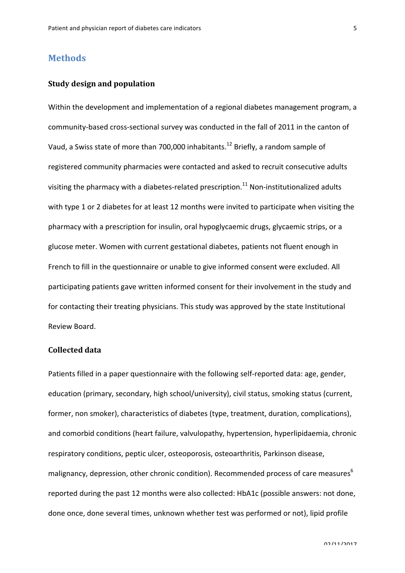### **Methods**

#### **Study design and population**

Within the development and implementation of a regional diabetes management program, a community-based cross-sectional survey was conducted in the fall of 2011 in the canton of Vaud, a Swiss state of more than 700,000 inhabitants.<sup>12</sup> Briefly, a random sample of registered community pharmacies were contacted and asked to recruit consecutive adults visiting the pharmacy with a diabetes-related prescription.<sup>11</sup> Non-institutionalized adults with type 1 or 2 diabetes for at least 12 months were invited to participate when visiting the pharmacy with a prescription for insulin, oral hypoglycaemic drugs, glycaemic strips, or a glucose meter. Women with current gestational diabetes, patients not fluent enough in French to fill in the questionnaire or unable to give informed consent were excluded. All participating patients gave written informed consent for their involvement in the study and for contacting their treating physicians. This study was approved by the state Institutional Review Board.

#### **Collected data**

Patients filled in a paper questionnaire with the following self-reported data: age, gender, education (primary, secondary, high school/university), civil status, smoking status (current, former, non smoker), characteristics of diabetes (type, treatment, duration, complications), and comorbid conditions (heart failure, valvulopathy, hypertension, hyperlipidaemia, chronic respiratory conditions, peptic ulcer, osteoporosis, osteoarthritis, Parkinson disease, malignancy, depression, other chronic condition). Recommended process of care measures<sup>6</sup> reported during the past 12 months were also collected: HbA1c (possible answers: not done, done once, done several times, unknown whether test was performed or not), lipid profile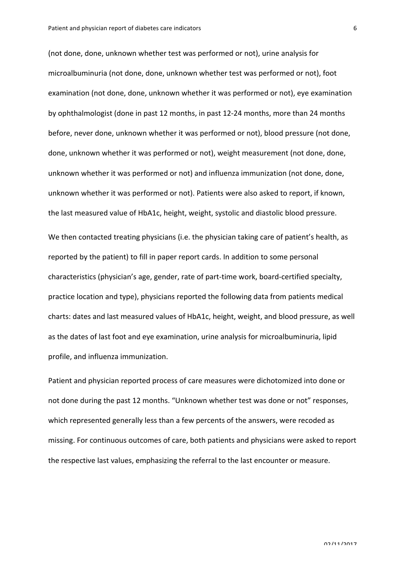(not done, done, unknown whether test was performed or not), urine analysis for microalbuminuria (not done, done, unknown whether test was performed or not), foot examination (not done, done, unknown whether it was performed or not), eye examination by ophthalmologist (done in past 12 months, in past 12-24 months, more than 24 months before, never done, unknown whether it was performed or not), blood pressure (not done, done, unknown whether it was performed or not), weight measurement (not done, done, unknown whether it was performed or not) and influenza immunization (not done, done, unknown whether it was performed or not). Patients were also asked to report, if known, the last measured value of HbA1c, height, weight, systolic and diastolic blood pressure. We then contacted treating physicians (i.e. the physician taking care of patient's health, as reported by the patient) to fill in paper report cards. In addition to some personal characteristics (physician's age, gender, rate of part-time work, board-certified specialty, practice location and type), physicians reported the following data from patients medical charts: dates and last measured values of HbA1c, height, weight, and blood pressure, as well as the dates of last foot and eye examination, urine analysis for microalbuminuria, lipid profile, and influenza immunization.

Patient and physician reported process of care measures were dichotomized into done or not done during the past 12 months. "Unknown whether test was done or not" responses, which represented generally less than a few percents of the answers, were recoded as missing. For continuous outcomes of care, both patients and physicians were asked to report the respective last values, emphasizing the referral to the last encounter or measure.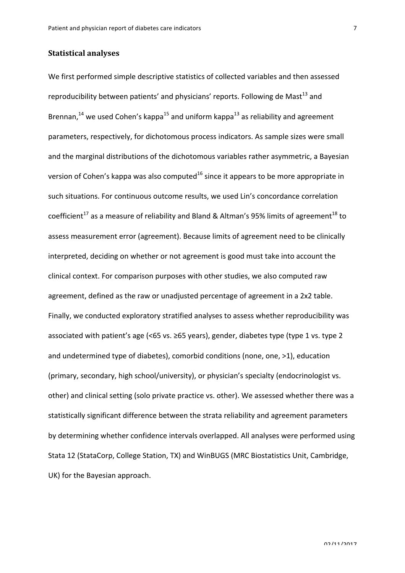#### **Statistical analyses**

We first performed simple descriptive statistics of collected variables and then assessed reproducibility between patients' and physicians' reports. Following de Mast<sup>13</sup> and Brennan,<sup>14</sup> we used Cohen's kappa<sup>15</sup> and uniform kappa<sup>13</sup> as reliability and agreement parameters, respectively, for dichotomous process indicators. As sample sizes were small and the marginal distributions of the dichotomous variables rather asymmetric, a Bayesian version of Cohen's kappa was also computed<sup>16</sup> since it appears to be more appropriate in such situations. For continuous outcome results, we used Lin's concordance correlation coefficient<sup>17</sup> as a measure of reliability and Bland & Altman's 95% limits of agreement<sup>18</sup> to assess measurement error (agreement). Because limits of agreement need to be clinically interpreted, deciding on whether or not agreement is good must take into account the clinical context. For comparison purposes with other studies, we also computed raw agreement, defined as the raw or unadjusted percentage of agreement in a 2x2 table. Finally, we conducted exploratory stratified analyses to assess whether reproducibility was associated with patient's age  $\left($ <65 vs.  $\geq$ 65 years), gender, diabetes type  $\left($ type 1 vs. type 2 and undetermined type of diabetes), comorbid conditions (none, one, >1), education (primary, secondary, high school/university), or physician's specialty (endocrinologist vs. other) and clinical setting (solo private practice vs. other). We assessed whether there was a statistically significant difference between the strata reliability and agreement parameters by determining whether confidence intervals overlapped. All analyses were performed using Stata 12 (StataCorp, College Station, TX) and WinBUGS (MRC Biostatistics Unit, Cambridge, UK) for the Bayesian approach.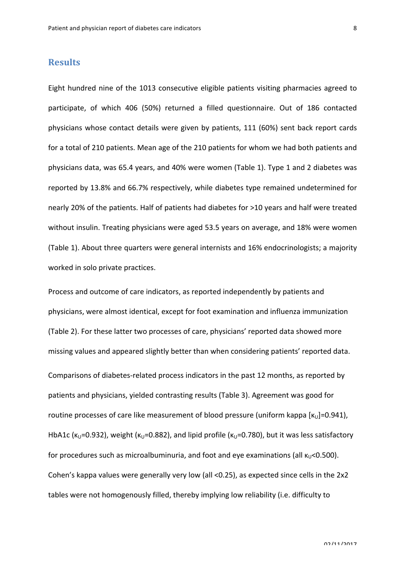### **Results**

Eight hundred nine of the 1013 consecutive eligible patients visiting pharmacies agreed to participate, of which 406 (50%) returned a filled questionnaire. Out of 186 contacted physicians whose contact details were given by patients,  $111$  (60%) sent back report cards for a total of 210 patients. Mean age of the 210 patients for whom we had both patients and physicians data, was 65.4 years, and 40% were women (Table 1). Type 1 and 2 diabetes was reported by 13.8% and 66.7% respectively, while diabetes type remained undetermined for nearly 20% of the patients. Half of patients had diabetes for >10 years and half were treated without insulin. Treating physicians were aged 53.5 years on average, and 18% were women (Table 1). About three quarters were general internists and 16% endocrinologists; a majority worked in solo private practices.

Process and outcome of care indicators, as reported independently by patients and physicians, were almost identical, except for foot examination and influenza immunization (Table 2). For these latter two processes of care, physicians' reported data showed more missing values and appeared slightly better than when considering patients' reported data. Comparisons of diabetes-related process indicators in the past 12 months, as reported by patients and physicians, yielded contrasting results (Table 3). Agreement was good for routine processes of care like measurement of blood pressure (uniform kappa  $\kappa_U$ ]=0.941), HbA1c ( $\kappa_U$ =0.932), weight ( $\kappa_U$ =0.882), and lipid profile ( $\kappa_U$ =0.780), but it was less satisfactory for procedures such as microalbuminuria, and foot and eye examinations (all  $\kappa_0$ <0.500). Cohen's kappa values were generally very low (all <0.25), as expected since cells in the  $2x2$ tables were not homogenously filled, thereby implying low reliability (i.e. difficulty to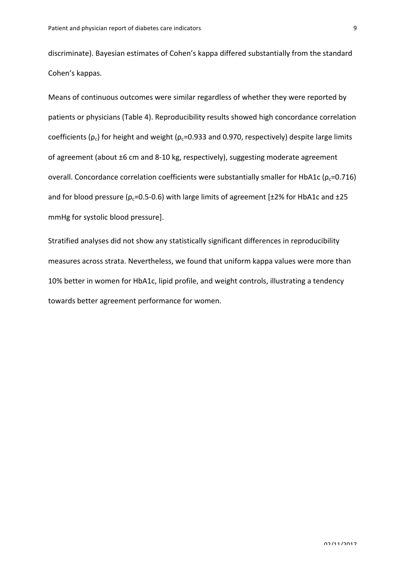discriminate). Bayesian estimates of Cohen's kappa differed substantially from the standard Cohen's kappas.

Means of continuous outcomes were similar regardless of whether they were reported by patients or physicians (Table 4). Reproducibility results showed high concordance correlation coefficients ( $\rho_c$ ) for height and weight ( $\rho_c$ =0.933 and 0.970, respectively) despite large limits of agreement (about ±6 cm and 8-10 kg, respectively), suggesting moderate agreement overall. Concordance correlation coefficients were substantially smaller for HbA1c ( $\rho_c$ =0.716) and for blood pressure ( $\rho_c$ =0.5-0.6) with large limits of agreement [ $\pm$ 2% for HbA1c and  $\pm$ 25 mmHg for systolic blood pressure].

Stratified analyses did not show any statistically significant differences in reproducibility measures across strata. Nevertheless, we found that uniform kappa values were more than 10% better in women for HbA1c, lipid profile, and weight controls, illustrating a tendency towards better agreement performance for women.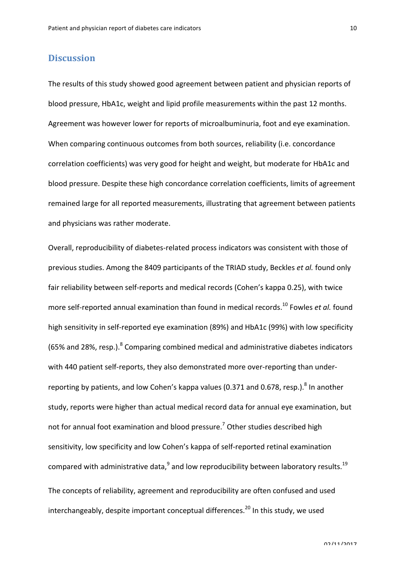# **Discussion**

The results of this study showed good agreement between patient and physician reports of blood pressure, HbA1c, weight and lipid profile measurements within the past 12 months. Agreement was however lower for reports of microalbuminuria, foot and eye examination. When comparing continuous outcomes from both sources, reliability (i.e. concordance correlation coefficients) was very good for height and weight, but moderate for HbA1c and blood pressure. Despite these high concordance correlation coefficients, limits of agreement remained large for all reported measurements, illustrating that agreement between patients and physicians was rather moderate.

Overall, reproducibility of diabetes-related process indicators was consistent with those of previous studies. Among the 8409 participants of the TRIAD study, Beckles *et al.* found only fair reliability between self-reports and medical records (Cohen's kappa 0.25), with twice more self-reported annual examination than found in medical records.<sup>10</sup> Fowles *et al.* found high sensitivity in self-reported eye examination (89%) and HbA1c (99%) with low specificity (65% and 28%, resp.). $8$  Comparing combined medical and administrative diabetes indicators with 440 patient self-reports, they also demonstrated more over-reporting than underreporting by patients, and low Cohen's kappa values (0.371 and 0.678, resp.).<sup>8</sup> In another study, reports were higher than actual medical record data for annual eye examination, but not for annual foot examination and blood pressure.<sup>7</sup> Other studies described high sensitivity, low specificity and low Cohen's kappa of self-reported retinal examination compared with administrative data, $^9$  and low reproducibility between laboratory results.<sup>19</sup> The concepts of reliability, agreement and reproducibility are often confused and used interchangeably, despite important conceptual differences.<sup>20</sup> In this study, we used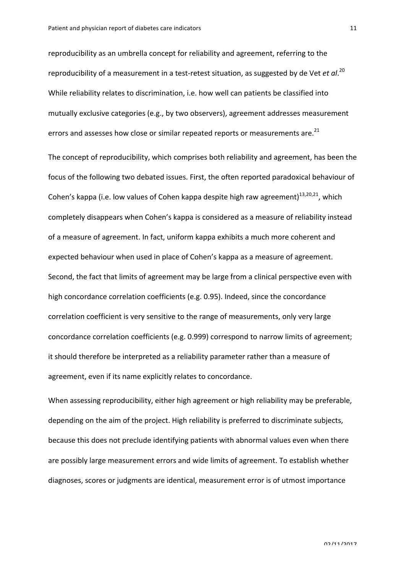reproducibility as an umbrella concept for reliability and agreement, referring to the reproducibility of a measurement in a test-retest situation, as suggested by de Vet *et al*.<sup>20</sup> While reliability relates to discrimination, i.e. how well can patients be classified into mutually exclusive categories (e.g., by two observers), agreement addresses measurement errors and assesses how close or similar repeated reports or measurements are.<sup>21</sup>

The concept of reproducibility, which comprises both reliability and agreement, has been the focus of the following two debated issues. First, the often reported paradoxical behaviour of Cohen's kappa (i.e. low values of Cohen kappa despite high raw agreement)<sup>13,20,21</sup>, which completely disappears when Cohen's kappa is considered as a measure of reliability instead of a measure of agreement. In fact, uniform kappa exhibits a much more coherent and expected behaviour when used in place of Cohen's kappa as a measure of agreement. Second, the fact that limits of agreement may be large from a clinical perspective even with high concordance correlation coefficients (e.g. 0.95). Indeed, since the concordance correlation coefficient is very sensitive to the range of measurements, only very large concordance correlation coefficients (e.g. 0.999) correspond to narrow limits of agreement; it should therefore be interpreted as a reliability parameter rather than a measure of agreement, even if its name explicitly relates to concordance.

When assessing reproducibility, either high agreement or high reliability may be preferable, depending on the aim of the project. High reliability is preferred to discriminate subjects, because this does not preclude identifying patients with abnormal values even when there are possibly large measurement errors and wide limits of agreement. To establish whether diagnoses, scores or judgments are identical, measurement error is of utmost importance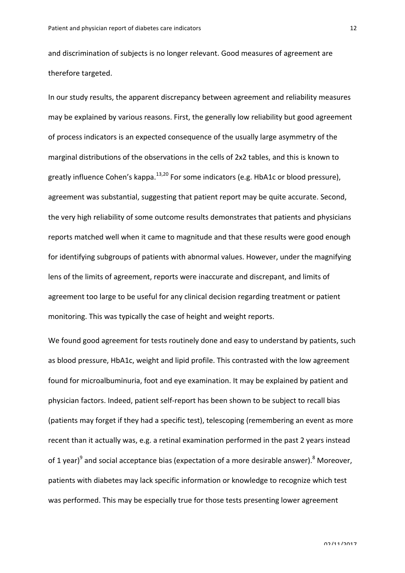and discrimination of subjects is no longer relevant. Good measures of agreement are therefore targeted.

In our study results, the apparent discrepancy between agreement and reliability measures may be explained by various reasons. First, the generally low reliability but good agreement of process indicators is an expected consequence of the usually large asymmetry of the marginal distributions of the observations in the cells of 2x2 tables, and this is known to greatly influence Cohen's kappa.<sup>13,20</sup> For some indicators (e.g. HbA1c or blood pressure), agreement was substantial, suggesting that patient report may be quite accurate. Second, the very high reliability of some outcome results demonstrates that patients and physicians reports matched well when it came to magnitude and that these results were good enough for identifying subgroups of patients with abnormal values. However, under the magnifying lens of the limits of agreement, reports were inaccurate and discrepant, and limits of agreement too large to be useful for any clinical decision regarding treatment or patient monitoring. This was typically the case of height and weight reports.

We found good agreement for tests routinely done and easy to understand by patients, such as blood pressure, HbA1c, weight and lipid profile. This contrasted with the low agreement found for microalbuminuria, foot and eye examination. It may be explained by patient and physician factors. Indeed, patient self-report has been shown to be subject to recall bias (patients may forget if they had a specific test), telescoping (remembering an event as more recent than it actually was, e.g. a retinal examination performed in the past 2 years instead of 1 year)<sup>9</sup> and social acceptance bias (expectation of a more desirable answer).<sup>8</sup> Moreover, patients with diabetes may lack specific information or knowledge to recognize which test was performed. This may be especially true for those tests presenting lower agreement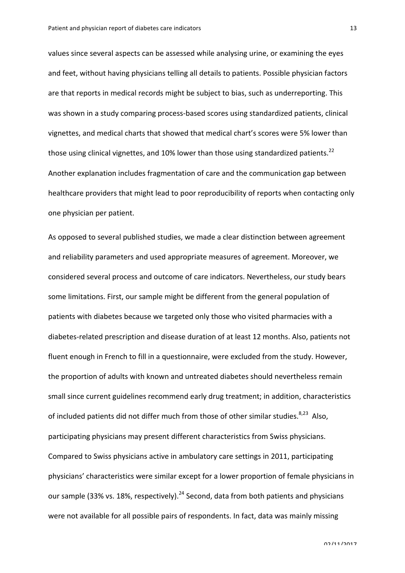values since several aspects can be assessed while analysing urine, or examining the eyes and feet, without having physicians telling all details to patients. Possible physician factors are that reports in medical records might be subject to bias, such as underreporting. This was shown in a study comparing process-based scores using standardized patients, clinical vignettes, and medical charts that showed that medical chart's scores were 5% lower than those using clinical vignettes, and 10% lower than those using standardized patients.<sup>22</sup> Another explanation includes fragmentation of care and the communication gap between healthcare providers that might lead to poor reproducibility of reports when contacting only one physician per patient.

As opposed to several published studies, we made a clear distinction between agreement and reliability parameters and used appropriate measures of agreement. Moreover, we considered several process and outcome of care indicators. Nevertheless, our study bears some limitations. First, our sample might be different from the general population of patients with diabetes because we targeted only those who visited pharmacies with a diabetes-related prescription and disease duration of at least 12 months. Also, patients not fluent enough in French to fill in a questionnaire, were excluded from the study. However, the proportion of adults with known and untreated diabetes should nevertheless remain small since current guidelines recommend early drug treatment; in addition, characteristics of included patients did not differ much from those of other similar studies.<sup>8,23</sup> Also, participating physicians may present different characteristics from Swiss physicians. Compared to Swiss physicians active in ambulatory care settings in 2011, participating physicians' characteristics were similar except for a lower proportion of female physicians in our sample (33% vs. 18%, respectively).<sup>24</sup> Second, data from both patients and physicians were not available for all possible pairs of respondents. In fact, data was mainly missing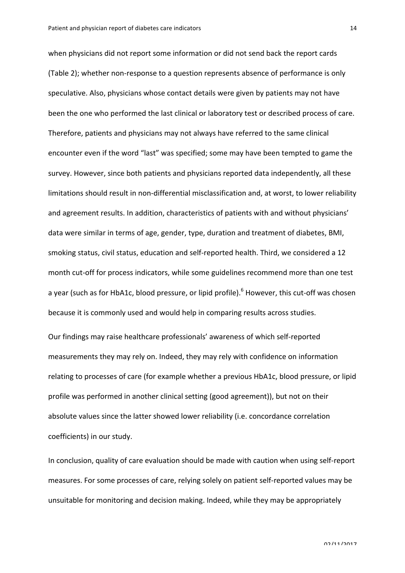when physicians did not report some information or did not send back the report cards (Table 2); whether non-response to a question represents absence of performance is only speculative. Also, physicians whose contact details were given by patients may not have been the one who performed the last clinical or laboratory test or described process of care. Therefore, patients and physicians may not always have referred to the same clinical encounter even if the word "last" was specified; some may have been tempted to game the survey. However, since both patients and physicians reported data independently, all these limitations should result in non-differential misclassification and, at worst, to lower reliability and agreement results. In addition, characteristics of patients with and without physicians' data were similar in terms of age, gender, type, duration and treatment of diabetes, BMI, smoking status, civil status, education and self-reported health. Third, we considered a 12 month cut-off for process indicators, while some guidelines recommend more than one test a year (such as for HbA1c, blood pressure, or lipid profile).<sup>6</sup> However, this cut-off was chosen because it is commonly used and would help in comparing results across studies.

Our findings may raise healthcare professionals' awareness of which self-reported measurements they may rely on. Indeed, they may rely with confidence on information relating to processes of care (for example whether a previous HbA1c, blood pressure, or lipid profile was performed in another clinical setting (good agreement)), but not on their absolute values since the latter showed lower reliability (i.e. concordance correlation coefficients) in our study.

In conclusion, quality of care evaluation should be made with caution when using self-report measures. For some processes of care, relying solely on patient self-reported values may be unsuitable for monitoring and decision making. Indeed, while they may be appropriately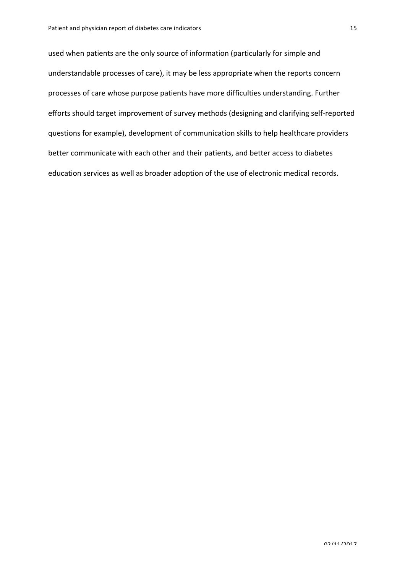used when patients are the only source of information (particularly for simple and understandable processes of care), it may be less appropriate when the reports concern processes of care whose purpose patients have more difficulties understanding. Further efforts should target improvement of survey methods (designing and clarifying self-reported questions for example), development of communication skills to help healthcare providers better communicate with each other and their patients, and better access to diabetes education services as well as broader adoption of the use of electronic medical records.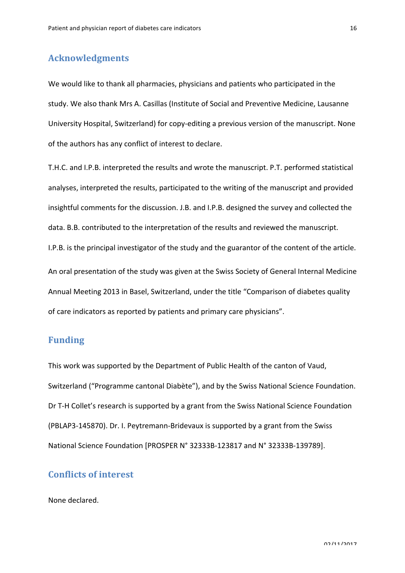## **Acknowledgments**

We would like to thank all pharmacies, physicians and patients who participated in the study. We also thank Mrs A. Casillas (Institute of Social and Preventive Medicine, Lausanne University Hospital, Switzerland) for copy-editing a previous version of the manuscript. None of the authors has any conflict of interest to declare.

T.H.C. and I.P.B. interpreted the results and wrote the manuscript. P.T. performed statistical analyses, interpreted the results, participated to the writing of the manuscript and provided insightful comments for the discussion. J.B. and I.P.B. designed the survey and collected the data. B.B. contributed to the interpretation of the results and reviewed the manuscript. I.P.B. is the principal investigator of the study and the guarantor of the content of the article. An oral presentation of the study was given at the Swiss Society of General Internal Medicine Annual Meeting 2013 in Basel, Switzerland, under the title "Comparison of diabetes quality of care indicators as reported by patients and primary care physicians".

### **Funding**

This work was supported by the Department of Public Health of the canton of Vaud, Switzerland ("Programme cantonal Diabète"), and by the Swiss National Science Foundation. Dr T-H Collet's research is supported by a grant from the Swiss National Science Foundation (PBLAP3-145870). Dr. I. Peytremann-Bridevaux is supported by a grant from the Swiss National Science Foundation [PROSPER N° 32333B-123817 and N° 32333B-139789].

### **Conflicts of interest**

None declared.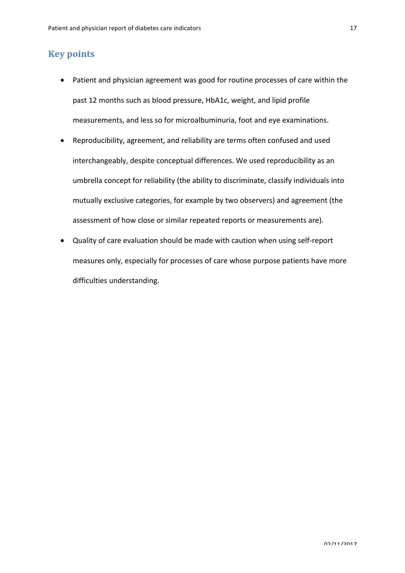### **Key points**

- Patient and physician agreement was good for routine processes of care within the past 12 months such as blood pressure, HbA1c, weight, and lipid profile measurements, and less so for microalbuminuria, foot and eye examinations.
- Reproducibility, agreement, and reliability are terms often confused and used interchangeably, despite conceptual differences. We used reproducibility as an umbrella concept for reliability (the ability to discriminate, classify individuals into mutually exclusive categories, for example by two observers) and agreement (the assessment of how close or similar repeated reports or measurements are).
- Quality of care evaluation should be made with caution when using self-report measures only, especially for processes of care whose purpose patients have more difficulties understanding.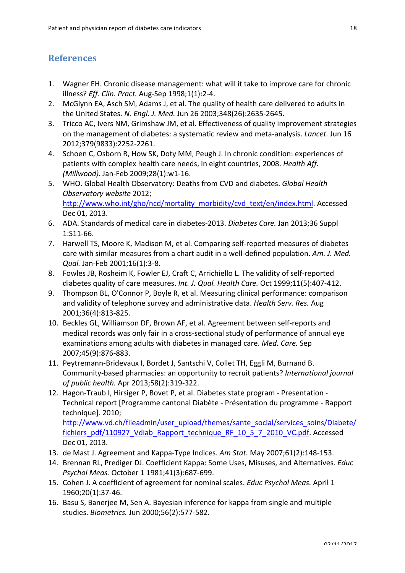### **References**

- 1. Wagner EH. Chronic disease management: what will it take to improve care for chronic illness? *Eff. Clin. Pract.* Aug-Sep 1998;1(1):2-4.
- 2. McGlynn EA, Asch SM, Adams J, et al. The quality of health care delivered to adults in the United States. N. Engl. J. Med. Jun 26 2003;348(26):2635-2645.
- 3. Tricco AC, Ivers NM, Grimshaw JM, et al. Effectiveness of quality improvement strategies on the management of diabetes: a systematic review and meta-analysis. *Lancet.* Jun 16 2012;379(9833):2252-2261.
- 4. Schoen C, Osborn R, How SK, Doty MM, Peugh J. In chronic condition: experiences of patients with complex health care needs, in eight countries, 2008. *Health Aff. (Millwood).* Jan-Feb 2009;28(1):w1-16.
- 5. WHO. Global Health Observatory: Deaths from CVD and diabetes. *Global Health Observatory website* 2012; http://www.who.int/gho/ncd/mortality\_morbidity/cvd\_text/en/index.html. Accessed Dec 01, 2013.
- 6. ADA. Standards of medical care in diabetes-2013. *Diabetes Care.* Jan 2013;36 Suppl 1:S11-66.
- 7. Harwell TS, Moore K, Madison M, et al. Comparing self-reported measures of diabetes care with similar measures from a chart audit in a well-defined population. Am. J. Med. *Qual.* Jan-Feb 2001;16(1):3-8.
- 8. Fowles JB, Rosheim K, Fowler EJ, Craft C, Arrichiello L. The validity of self-reported diabetes quality of care measures. Int. J. Qual. Health Care. Oct 1999;11(5):407-412.
- 9. Thompson BL, O'Connor P, Boyle R, et al. Measuring clinical performance: comparison and validity of telephone survey and administrative data. *Health Serv. Res.* Aug 2001;36(4):813-825.
- 10. Beckles GL, Williamson DF, Brown AF, et al. Agreement between self-reports and medical records was only fair in a cross-sectional study of performance of annual eye examinations among adults with diabetes in managed care. *Med. Care.* Sep 2007;45(9):876-883.
- 11. Peytremann-Bridevaux I, Bordet J, Santschi V, Collet TH, Eggli M, Burnand B. Community-based pharmacies: an opportunity to recruit patients? International journal *of public health.* Apr 2013;58(2):319-322.
- 12. Hagon-Traub I, Hirsiger P, Bovet P, et al. Diabetes state program Presentation -Technical report [Programme cantonal Diabète - Présentation du programme - Rapport technique]. 2010; http://www.vd.ch/fileadmin/user\_upload/themes/sante\_social/services\_soins/Diabete/ fichiers\_pdf/110927\_Vdiab\_Rapport\_technique\_RF\_10\_5\_7\_2010\_VC.pdf. Accessed Dec 01, 2013.
- 13. de Mast J. Agreement and Kappa-Type Indices. *Am Stat.* May 2007;61(2):148-153.
- 14. Brennan RL, Prediger DJ. Coefficient Kappa: Some Uses, Misuses, and Alternatives. *Educ Psychol Meas.* October 1 1981;41(3):687-699.
- 15. Cohen J. A coefficient of agreement for nominal scales. *Educ Psychol Meas*. April 1 1960;20(1):37-46.
- 16. Basu S, Banerjee M, Sen A. Bayesian inference for kappa from single and multiple studies. *Biometrics.* Jun 2000;56(2):577-582.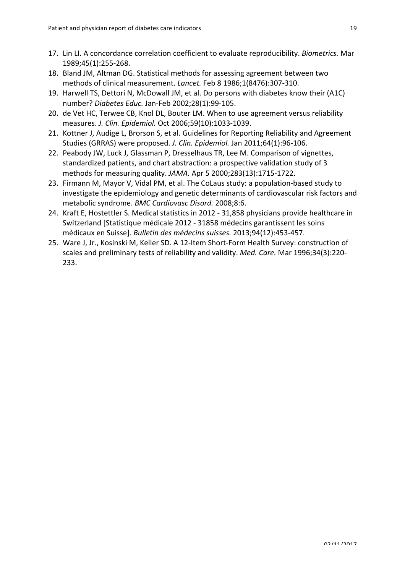- 17. Lin LI. A concordance correlation coefficient to evaluate reproducibility. *Biometrics.* Mar 1989;45(1):255-268.
- 18. Bland JM, Altman DG. Statistical methods for assessing agreement between two methods of clinical measurement. *Lancet*. Feb 8 1986;1(8476):307-310.
- 19. Harwell TS, Dettori N, McDowall JM, et al. Do persons with diabetes know their (A1C) number? *Diabetes Educ.* Jan-Feb 2002;28(1):99-105.
- 20. de Vet HC, Terwee CB, Knol DL, Bouter LM. When to use agreement versus reliability measures. *J. Clin. Epidemiol.* Oct 2006;59(10):1033-1039.
- 21. Kottner J, Audige L, Brorson S, et al. Guidelines for Reporting Reliability and Agreement Studies (GRRAS) were proposed. *J. Clin. Epidemiol.* Jan 2011;64(1):96-106.
- 22. Peabody JW, Luck J, Glassman P, Dresselhaus TR, Lee M. Comparison of vignettes, standardized patients, and chart abstraction: a prospective validation study of 3 methods for measuring quality. *JAMA*. Apr 5 2000;283(13):1715-1722.
- 23. Firmann M, Mayor V, Vidal PM, et al. The CoLaus study: a population-based study to investigate the epidemiology and genetic determinants of cardiovascular risk factors and metabolic syndrome. *BMC Cardiovasc Disord.* 2008;8:6.
- 24. Kraft E, Hostettler S. Medical statistics in 2012 31,858 physicians provide healthcare in Switzerland [Statistique médicale 2012 - 31858 médecins garantissent les soins médicaux en Suisse]. *Bulletin des médecins suisses.* 2013;94(12):453-457.
- 25. Ware J, Jr., Kosinski M, Keller SD. A 12-Item Short-Form Health Survey: construction of scales and preliminary tests of reliability and validity. *Med. Care.* Mar 1996;34(3):220-233.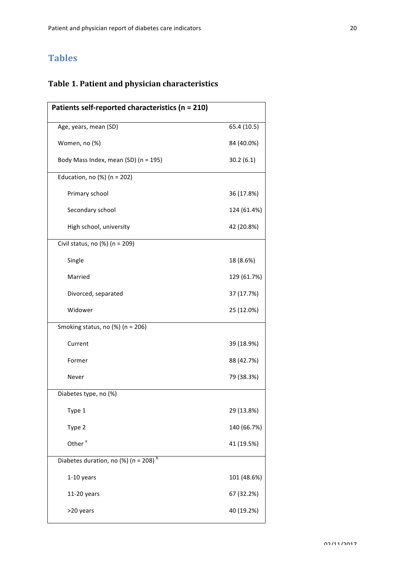# **Tables**

# **Table 1. Patient and physician characteristics**

| Patients self-reported characteristics (n = 210)     |             |
|------------------------------------------------------|-------------|
| Age, years, mean (SD)                                | 65.4 (10.5) |
| Women, no (%)                                        | 84 (40.0%)  |
| Body Mass Index, mean (SD) (n = 195)                 | 30.2(6.1)   |
| Education, no $(\%)$ (n = 202)                       |             |
| Primary school                                       | 36 (17.8%)  |
| Secondary school                                     | 124 (61.4%) |
| High school, university                              | 42 (20.8%)  |
| Civil status, no (%) (n = 209)                       |             |
| Single                                               | 18 (8.6%)   |
| Married                                              | 129 (61.7%) |
| Divorced, separated                                  | 37 (17.7%)  |
| Widower                                              | 25 (12.0%)  |
| Smoking status, no $(\%)$ (n = 206)                  |             |
| Current                                              | 39 (18.9%)  |
| Former                                               | 88 (42.7%)  |
| Never                                                | 79 (38.3%)  |
| Diabetes type, no (%)                                |             |
| Type 1                                               | 29 (13.8%)  |
| Type 2                                               | 140 (66.7%) |
| Other <sup>a</sup>                                   | 41 (19.5%)  |
| Diabetes duration, no (%) ( $n = 208$ ) <sup>b</sup> |             |
| 1-10 years                                           | 101 (48.6%) |
| $11-20$ years                                        | 67 (32.2%)  |
| >20 years                                            | 40 (19.2%)  |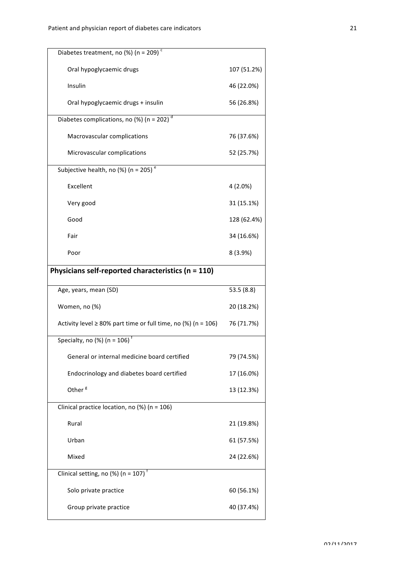| Diabetes treatment, no (%) (n = 209) <sup>c</sup>                         |             |
|---------------------------------------------------------------------------|-------------|
| Oral hypoglycaemic drugs                                                  | 107 (51.2%) |
| Insulin                                                                   | 46 (22.0%)  |
| Oral hypoglycaemic drugs + insulin                                        | 56 (26.8%)  |
| Diabetes complications, no $(\frac{\sqrt{6}}{10})$ (n = 202) <sup>d</sup> |             |
| Macrovascular complications                                               | 76 (37.6%)  |
| Microvascular complications                                               | 52 (25.7%)  |
| Subjective health, no (%) (n = 205) <sup>e</sup>                          |             |
| Excellent                                                                 | $4(2.0\%)$  |
| Very good                                                                 | 31 (15.1%)  |
| Good                                                                      | 128 (62.4%) |
| Fair                                                                      | 34 (16.6%)  |
| Poor                                                                      | 8 (3.9%)    |
| Physicians self-reported characteristics (n = 110)                        |             |
|                                                                           |             |
| Age, years, mean (SD)                                                     | 53.5 (8.8)  |
| Women, no (%)                                                             | 20 (18.2%)  |
| Activity level $\geq$ 80% part time or full time, no (%) (n = 106)        | 76 (71.7%)  |
| Specialty, no (%) $(n = 106)^{f}$                                         |             |
| General or internal medicine board certified                              | 79 (74.5%)  |
| Endocrinology and diabetes board certified                                | 17 (16.0%)  |
| Other <sup>8</sup>                                                        | 13 (12.3%)  |
| Clinical practice location, no $(\%)$ (n = 106)                           |             |
| Rural                                                                     | 21 (19.8%)  |
| Urban                                                                     | 61 (57.5%)  |
| Mixed                                                                     | 24 (22.6%)  |
| Clinical setting, no (%) (n = 107) <sup>t</sup>                           |             |
| Solo private practice                                                     | 60 (56.1%)  |
| Group private practice                                                    | 40 (37.4%)  |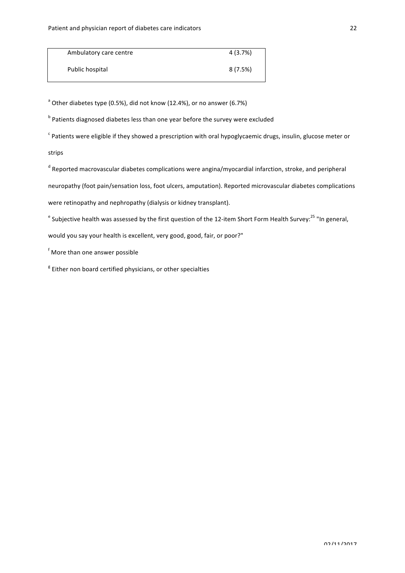| Ambulatory care centre | 4 (3.7%) |
|------------------------|----------|
| Public hospital        | 8 (7.5%) |

 $a^2$  Other diabetes type (0.5%), did not know (12.4%), or no answer (6.7%)

 $<sup>b</sup>$  Patients diagnosed diabetes less than one year before the survey were excluded</sup>

 $\textdegree$  Patients were eligible if they showed a prescription with oral hypoglycaemic drugs, insulin, glucose meter or strips

 $d$  Reported macrovascular diabetes complications were angina/myocardial infarction, stroke, and peripheral neuropathy (foot pain/sensation loss, foot ulcers, amputation). Reported microvascular diabetes complications were retinopathy and nephropathy (dialysis or kidney transplant).

 $^{\rm e}$  Subjective health was assessed by the first question of the 12-item Short Form Health Survey: $^{25}$  "In general, would you say your health is excellent, very good, good, fair, or poor?"

f More than one answer possible

 $8$  Either non board certified physicians, or other specialties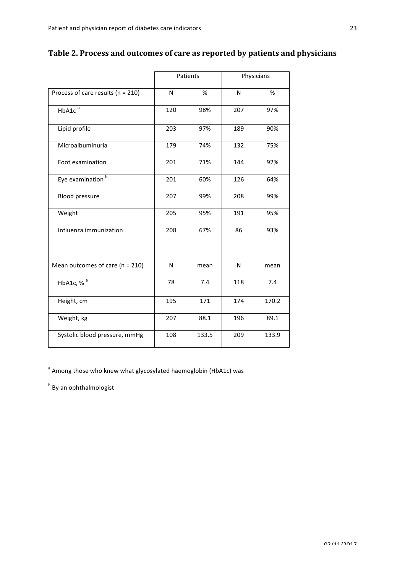| Table 2. Process and outcomes of care as reported by patients and physicians |  |  |
|------------------------------------------------------------------------------|--|--|
|                                                                              |  |  |

|                                       |     | Patients | Physicians |       |  |
|---------------------------------------|-----|----------|------------|-------|--|
| Process of care results ( $n = 210$ ) | N   | %        | N          | %     |  |
| HbA1c <sup>a</sup>                    | 120 | 98%      | 207        | 97%   |  |
| Lipid profile                         | 203 | 97%      | 189        | 90%   |  |
| Microalbuminuria                      | 179 | 74%      | 132        | 75%   |  |
| Foot examination                      | 201 | 71%      | 144        | 92%   |  |
| Eye examination <sup>b</sup>          | 201 | 60%      | 126        | 64%   |  |
| <b>Blood pressure</b>                 | 207 | 99%      | 208        | 99%   |  |
| Weight                                | 205 | 95%      | 191        | 95%   |  |
| Influenza immunization                | 208 | 67%      | 86         | 93%   |  |
| Mean outcomes of care ( $n = 210$ )   | N   | mean     | N          | mean  |  |
| HbA1c, % <sup>a</sup>                 | 78  | 7.4      | 118        | 7.4   |  |
| Height, cm                            | 195 | 171      | 174        | 170.2 |  |
| Weight, kg                            | 207 | 88.1     | 196        | 89.1  |  |
| Systolic blood pressure, mmHg         | 108 | 133.5    | 209        | 133.9 |  |
|                                       |     |          |            |       |  |

 $a^2$  Among those who knew what glycosylated haemoglobin (HbA1c) was

 $<sup>b</sup>$  By an ophthalmologist</sup>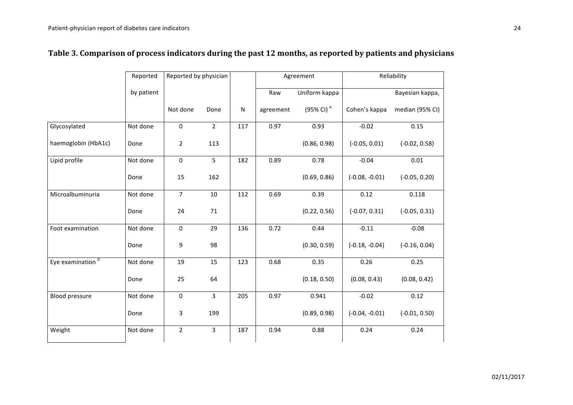|                              | Reported<br>Reported by physician |                     |                |              |           |                       |                  |                 |  | Agreement |  | Reliability |  |
|------------------------------|-----------------------------------|---------------------|----------------|--------------|-----------|-----------------------|------------------|-----------------|--|-----------|--|-------------|--|
|                              | by patient                        |                     |                |              | Raw       | Uniform kappa         |                  | Bayesian kappa, |  |           |  |             |  |
|                              |                                   | Not done            | Done           | $\mathsf{N}$ | agreement | $(95\% \text{ Cl})^a$ | Cohen's kappa    | median (95% CI) |  |           |  |             |  |
| Glycosylated                 | Not done                          | $\mathbf 0$         | $\overline{2}$ | 117          | 0.97      | 0.93                  | $-0.02$          | 0.15            |  |           |  |             |  |
| haemoglobin (HbA1c)          | Done                              | $\overline{2}$      | 113            |              |           | (0.86, 0.98)          | $(-0.05, 0.01)$  | $(-0.02, 0.58)$ |  |           |  |             |  |
| Lipid profile                | Not done                          | $\pmb{0}$           | 5              | 182          | 0.89      | 0.78                  | $-0.04$          | 0.01            |  |           |  |             |  |
|                              | Done                              | 15                  | 162            |              |           | (0.69, 0.86)          | $(-0.08, -0.01)$ | $(-0.05, 0.20)$ |  |           |  |             |  |
| Microalbuminuria             | Not done                          | $\overline{7}$      | 10             | 112          | 0.69      | 0.39                  | 0.12             | 0.118           |  |           |  |             |  |
|                              | Done                              | 24                  | $71\,$         |              |           | (0.22, 0.56)          | $(-0.07, 0.31)$  | $(-0.05, 0.31)$ |  |           |  |             |  |
| Foot examination             | Not done                          | $\pmb{0}$           | 29             | 136          | 0.72      | 0.44                  | $-0.11$          | $-0.08$         |  |           |  |             |  |
|                              | Done                              | 9                   | 98             |              |           | (0.30, 0.59)          | $(-0.18, -0.04)$ | $(-0.16, 0.04)$ |  |           |  |             |  |
| Eye examination <sup>b</sup> | Not done                          | 19                  | 15             | 123          | 0.68      | 0.35                  | 0.26             | 0.25            |  |           |  |             |  |
|                              | Done                              | 25                  | 64             |              |           | (0.18, 0.50)          | (0.08, 0.43)     | (0.08, 0.42)    |  |           |  |             |  |
| <b>Blood pressure</b>        | Not done                          | $\mathsf{O}\xspace$ | $\overline{3}$ | 205          | 0.97      | 0.941                 | $-0.02$          | 0.12            |  |           |  |             |  |
|                              | Done                              | 3                   | 199            |              |           | (0.89, 0.98)          | $(-0.04, -0.01)$ | $(-0.01, 0.50)$ |  |           |  |             |  |
| Weight                       | Not done                          | $\overline{2}$      | 3              | 187          | 0.94      | 0.88                  | 0.24             | 0.24            |  |           |  |             |  |

# Table 3. Comparison of process indicators during the past 12 months, as reported by patients and physicians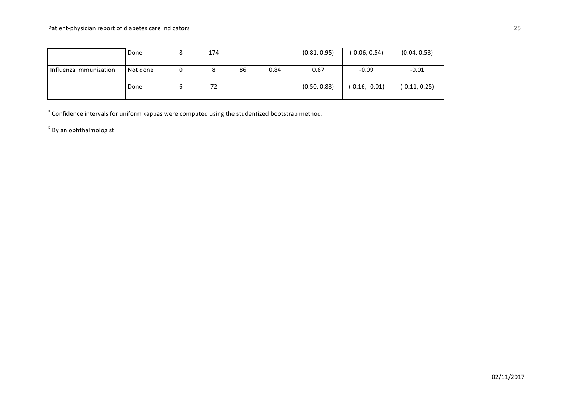|                        | Done     | 174 |    |      | (0.81, 0.95) | $(-0.06, 0.54)$  | (0.04, 0.53)    |
|------------------------|----------|-----|----|------|--------------|------------------|-----------------|
| Influenza immunization | Not done |     | 86 | 0.84 | 0.67         | $-0.09$          | $-0.01$         |
|                        | Done     | 72  |    |      | (0.50, 0.83) | $(-0.16, -0.01)$ | $(-0.11, 0.25)$ |

 $a^2$  Confidence intervals for uniform kappas were computed using the studentized bootstrap method.

 $b$  By an ophthalmologist